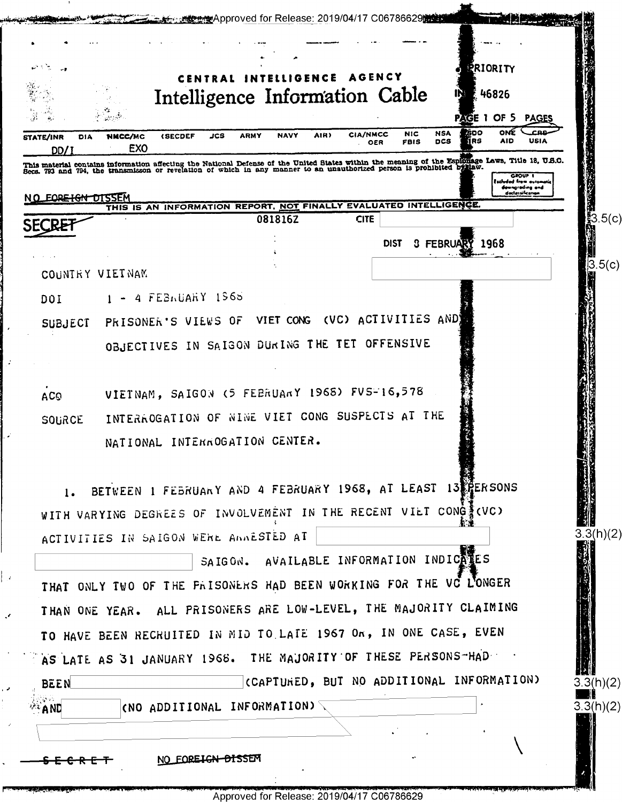| <b>PRIORITY</b><br><b>AGENCY</b><br><b>TELLIGENCE</b><br>Intelligence Information Cable<br>E 46826<br>IŊ<br>PAGE 1 OF 5<br><b>PAGES</b><br>ONE<br><b>GOO</b><br>CRR<br><b>NSA</b><br><b>NIC</b><br>CIA/NMCC<br>AIR)<br>JCS<br><b>NAVY</b><br><b>(SECDEF</b><br>ARMY<br>NNCC/MC<br><b>STATE/INR</b><br>DIA<br>lirs<br><b>DCS</b><br><b>AID</b><br>USIA<br>FBIS<br>OER<br>EX <sub>0</sub><br>DD/:<br>This material contains information affecting the National Defense of the United States within the meaning of the Espionage Laws, Title 18, U.S.O.<br>Secs. 793 and 794, the transmisson or revelation of which in any manner to a<br>GROUP I<br>Eachudad from automa<br>dewngrading and<br>doclarnificanon<br>NO EORE HGN DISSEM<br>THIS IS AN INFORMATION REPORT, NOT FINALLY EVALUATED INTELLIGENCE.<br>图<br>3.5(c)<br>081816Z<br><b>CITE</b><br>3 FEBRUARY 1968<br><b>DIST</b><br>ļЗ<br>COUNTRY VIETNAM<br>4 FEBRUARY 1965<br>DOI<br>(VC) ACTIVITIES AND<br>VIET CONG<br>PRISONER'S VIEWS OF<br><b>SUBJECT</b><br>OBJECTIVES IN SAIGON DURING THE TET OFFENSIVE<br>VIETNAM, SAIGON (5 FEBRUARY 1968) FVS-16,578<br><b>ACO</b><br>INTERACGATION OF NINE VIET CONG SUSPECTS AT THE<br><b>SOURCE</b><br>NATIONAL INTERROGATION CENTER.<br>BETWEEN 1 FEBRUARY AND 4 FEBRUARY 1968, AT LEAST 13 PERSONS<br>1.<br>WITH VARYING DEGREES OF INVOLVEMENT IN THE RECENT VILT CONG CVC)<br>3.3(h)(2)<br>ACTIVITIES IN SAIGON WERE ANNESTED AT<br>SAIGON. AVAILABLE INFORMATION INDICATES<br>THAT ONLY TWO OF THE FRISONERS HAD BEEN WORKING FOR THE VC LONGER<br>THAN ONE YEAR. ALL PRISONERS ARE LOW-LEVEL, THE MAJORITY CLAIMING<br>TO HAVE BEEN RECRUITED IN MID TO LATE 1967 On, IN ONE CASE, EVEN<br>AS LATE AS 31 JANUARY 1968. THE MAJORITY OF THESE PERSONS-HAD<br>(CAPTURED, BUT NO ADDITIONAL INFORMATION) |             |  | <del>按点</del> Approved for Release: 2019/04/17 C06786629的全线 |  |           |
|-----------------------------------------------------------------------------------------------------------------------------------------------------------------------------------------------------------------------------------------------------------------------------------------------------------------------------------------------------------------------------------------------------------------------------------------------------------------------------------------------------------------------------------------------------------------------------------------------------------------------------------------------------------------------------------------------------------------------------------------------------------------------------------------------------------------------------------------------------------------------------------------------------------------------------------------------------------------------------------------------------------------------------------------------------------------------------------------------------------------------------------------------------------------------------------------------------------------------------------------------------------------------------------------------------------------------------------------------------------------------------------------------------------------------------------------------------------------------------------------------------------------------------------------------------------------------------------------------------------------------------------------------------------------------------------------------------------------------------------------------------------------------------------------------------------------|-------------|--|-------------------------------------------------------------|--|-----------|
|                                                                                                                                                                                                                                                                                                                                                                                                                                                                                                                                                                                                                                                                                                                                                                                                                                                                                                                                                                                                                                                                                                                                                                                                                                                                                                                                                                                                                                                                                                                                                                                                                                                                                                                                                                                                                 |             |  |                                                             |  |           |
|                                                                                                                                                                                                                                                                                                                                                                                                                                                                                                                                                                                                                                                                                                                                                                                                                                                                                                                                                                                                                                                                                                                                                                                                                                                                                                                                                                                                                                                                                                                                                                                                                                                                                                                                                                                                                 |             |  |                                                             |  |           |
|                                                                                                                                                                                                                                                                                                                                                                                                                                                                                                                                                                                                                                                                                                                                                                                                                                                                                                                                                                                                                                                                                                                                                                                                                                                                                                                                                                                                                                                                                                                                                                                                                                                                                                                                                                                                                 |             |  |                                                             |  |           |
|                                                                                                                                                                                                                                                                                                                                                                                                                                                                                                                                                                                                                                                                                                                                                                                                                                                                                                                                                                                                                                                                                                                                                                                                                                                                                                                                                                                                                                                                                                                                                                                                                                                                                                                                                                                                                 |             |  |                                                             |  |           |
|                                                                                                                                                                                                                                                                                                                                                                                                                                                                                                                                                                                                                                                                                                                                                                                                                                                                                                                                                                                                                                                                                                                                                                                                                                                                                                                                                                                                                                                                                                                                                                                                                                                                                                                                                                                                                 |             |  |                                                             |  |           |
|                                                                                                                                                                                                                                                                                                                                                                                                                                                                                                                                                                                                                                                                                                                                                                                                                                                                                                                                                                                                                                                                                                                                                                                                                                                                                                                                                                                                                                                                                                                                                                                                                                                                                                                                                                                                                 |             |  |                                                             |  |           |
|                                                                                                                                                                                                                                                                                                                                                                                                                                                                                                                                                                                                                                                                                                                                                                                                                                                                                                                                                                                                                                                                                                                                                                                                                                                                                                                                                                                                                                                                                                                                                                                                                                                                                                                                                                                                                 |             |  |                                                             |  |           |
|                                                                                                                                                                                                                                                                                                                                                                                                                                                                                                                                                                                                                                                                                                                                                                                                                                                                                                                                                                                                                                                                                                                                                                                                                                                                                                                                                                                                                                                                                                                                                                                                                                                                                                                                                                                                                 |             |  |                                                             |  |           |
|                                                                                                                                                                                                                                                                                                                                                                                                                                                                                                                                                                                                                                                                                                                                                                                                                                                                                                                                                                                                                                                                                                                                                                                                                                                                                                                                                                                                                                                                                                                                                                                                                                                                                                                                                                                                                 |             |  |                                                             |  |           |
|                                                                                                                                                                                                                                                                                                                                                                                                                                                                                                                                                                                                                                                                                                                                                                                                                                                                                                                                                                                                                                                                                                                                                                                                                                                                                                                                                                                                                                                                                                                                                                                                                                                                                                                                                                                                                 |             |  |                                                             |  |           |
|                                                                                                                                                                                                                                                                                                                                                                                                                                                                                                                                                                                                                                                                                                                                                                                                                                                                                                                                                                                                                                                                                                                                                                                                                                                                                                                                                                                                                                                                                                                                                                                                                                                                                                                                                                                                                 |             |  |                                                             |  | 5(c)      |
|                                                                                                                                                                                                                                                                                                                                                                                                                                                                                                                                                                                                                                                                                                                                                                                                                                                                                                                                                                                                                                                                                                                                                                                                                                                                                                                                                                                                                                                                                                                                                                                                                                                                                                                                                                                                                 |             |  |                                                             |  |           |
|                                                                                                                                                                                                                                                                                                                                                                                                                                                                                                                                                                                                                                                                                                                                                                                                                                                                                                                                                                                                                                                                                                                                                                                                                                                                                                                                                                                                                                                                                                                                                                                                                                                                                                                                                                                                                 |             |  |                                                             |  |           |
|                                                                                                                                                                                                                                                                                                                                                                                                                                                                                                                                                                                                                                                                                                                                                                                                                                                                                                                                                                                                                                                                                                                                                                                                                                                                                                                                                                                                                                                                                                                                                                                                                                                                                                                                                                                                                 |             |  |                                                             |  |           |
|                                                                                                                                                                                                                                                                                                                                                                                                                                                                                                                                                                                                                                                                                                                                                                                                                                                                                                                                                                                                                                                                                                                                                                                                                                                                                                                                                                                                                                                                                                                                                                                                                                                                                                                                                                                                                 |             |  |                                                             |  |           |
|                                                                                                                                                                                                                                                                                                                                                                                                                                                                                                                                                                                                                                                                                                                                                                                                                                                                                                                                                                                                                                                                                                                                                                                                                                                                                                                                                                                                                                                                                                                                                                                                                                                                                                                                                                                                                 |             |  |                                                             |  |           |
|                                                                                                                                                                                                                                                                                                                                                                                                                                                                                                                                                                                                                                                                                                                                                                                                                                                                                                                                                                                                                                                                                                                                                                                                                                                                                                                                                                                                                                                                                                                                                                                                                                                                                                                                                                                                                 |             |  |                                                             |  |           |
|                                                                                                                                                                                                                                                                                                                                                                                                                                                                                                                                                                                                                                                                                                                                                                                                                                                                                                                                                                                                                                                                                                                                                                                                                                                                                                                                                                                                                                                                                                                                                                                                                                                                                                                                                                                                                 |             |  |                                                             |  |           |
|                                                                                                                                                                                                                                                                                                                                                                                                                                                                                                                                                                                                                                                                                                                                                                                                                                                                                                                                                                                                                                                                                                                                                                                                                                                                                                                                                                                                                                                                                                                                                                                                                                                                                                                                                                                                                 |             |  |                                                             |  |           |
|                                                                                                                                                                                                                                                                                                                                                                                                                                                                                                                                                                                                                                                                                                                                                                                                                                                                                                                                                                                                                                                                                                                                                                                                                                                                                                                                                                                                                                                                                                                                                                                                                                                                                                                                                                                                                 |             |  |                                                             |  |           |
|                                                                                                                                                                                                                                                                                                                                                                                                                                                                                                                                                                                                                                                                                                                                                                                                                                                                                                                                                                                                                                                                                                                                                                                                                                                                                                                                                                                                                                                                                                                                                                                                                                                                                                                                                                                                                 |             |  |                                                             |  |           |
|                                                                                                                                                                                                                                                                                                                                                                                                                                                                                                                                                                                                                                                                                                                                                                                                                                                                                                                                                                                                                                                                                                                                                                                                                                                                                                                                                                                                                                                                                                                                                                                                                                                                                                                                                                                                                 |             |  |                                                             |  |           |
|                                                                                                                                                                                                                                                                                                                                                                                                                                                                                                                                                                                                                                                                                                                                                                                                                                                                                                                                                                                                                                                                                                                                                                                                                                                                                                                                                                                                                                                                                                                                                                                                                                                                                                                                                                                                                 |             |  |                                                             |  |           |
|                                                                                                                                                                                                                                                                                                                                                                                                                                                                                                                                                                                                                                                                                                                                                                                                                                                                                                                                                                                                                                                                                                                                                                                                                                                                                                                                                                                                                                                                                                                                                                                                                                                                                                                                                                                                                 |             |  |                                                             |  |           |
|                                                                                                                                                                                                                                                                                                                                                                                                                                                                                                                                                                                                                                                                                                                                                                                                                                                                                                                                                                                                                                                                                                                                                                                                                                                                                                                                                                                                                                                                                                                                                                                                                                                                                                                                                                                                                 |             |  |                                                             |  |           |
|                                                                                                                                                                                                                                                                                                                                                                                                                                                                                                                                                                                                                                                                                                                                                                                                                                                                                                                                                                                                                                                                                                                                                                                                                                                                                                                                                                                                                                                                                                                                                                                                                                                                                                                                                                                                                 |             |  |                                                             |  |           |
|                                                                                                                                                                                                                                                                                                                                                                                                                                                                                                                                                                                                                                                                                                                                                                                                                                                                                                                                                                                                                                                                                                                                                                                                                                                                                                                                                                                                                                                                                                                                                                                                                                                                                                                                                                                                                 |             |  |                                                             |  |           |
|                                                                                                                                                                                                                                                                                                                                                                                                                                                                                                                                                                                                                                                                                                                                                                                                                                                                                                                                                                                                                                                                                                                                                                                                                                                                                                                                                                                                                                                                                                                                                                                                                                                                                                                                                                                                                 |             |  |                                                             |  |           |
|                                                                                                                                                                                                                                                                                                                                                                                                                                                                                                                                                                                                                                                                                                                                                                                                                                                                                                                                                                                                                                                                                                                                                                                                                                                                                                                                                                                                                                                                                                                                                                                                                                                                                                                                                                                                                 | <b>BEEN</b> |  |                                                             |  | 3.3(h)(2) |
| KNO ADDITIONAL INFORMATION) $\textcolor{red}{\bar{}}$<br>$^{\circ 2}$ AND                                                                                                                                                                                                                                                                                                                                                                                                                                                                                                                                                                                                                                                                                                                                                                                                                                                                                                                                                                                                                                                                                                                                                                                                                                                                                                                                                                                                                                                                                                                                                                                                                                                                                                                                       |             |  |                                                             |  | 3.3(h)(2) |
|                                                                                                                                                                                                                                                                                                                                                                                                                                                                                                                                                                                                                                                                                                                                                                                                                                                                                                                                                                                                                                                                                                                                                                                                                                                                                                                                                                                                                                                                                                                                                                                                                                                                                                                                                                                                                 |             |  |                                                             |  |           |
| NO FOREIGN DISSEM                                                                                                                                                                                                                                                                                                                                                                                                                                                                                                                                                                                                                                                                                                                                                                                                                                                                                                                                                                                                                                                                                                                                                                                                                                                                                                                                                                                                                                                                                                                                                                                                                                                                                                                                                                                               |             |  |                                                             |  |           |

بتعتقدت

 $\overline{\phantom{a}}$ 

 $\mathcal{L}$ 

 $\mathcal{L}$ 

 $\|$  ,

 $\mathcal{L}$ 

J,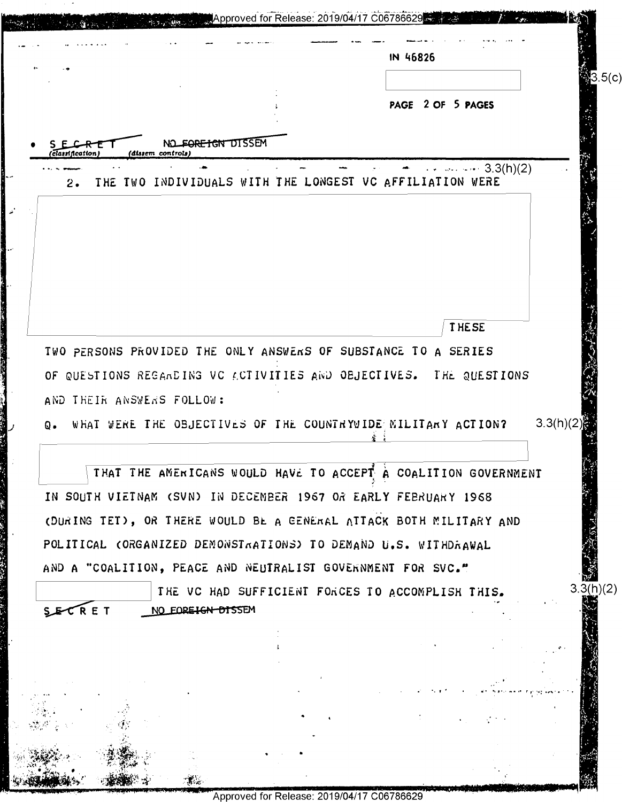| PAGE 2 OF 5 PAGES<br>NO FORETGN DISSEM<br>(dissem controls)<br><i><b>Classification</b></i><br>$\cdots$ 3.3(h)(2)<br>THE TWO INDIVIDUALS WITH THE LONGEST VC AFFILIATION WERE<br>2.<br><b>THESE</b><br>TWO PERSONS PROVIDED THE ONLY ANSWERS OF SUBSTANCE TO A SERIES<br>OF QUESTIONS REGARDING VC ACTIVITIES AND OBJECTIVES. THE QUESTIONS<br>AND THEIR ANSWERS FOLLOW:<br>WHAT WERE THE OBJECTIVES OF THE COUNTRYWIDE MILITARY ACTION?<br>$Q_{\bullet}$<br>THAT THE AMERICANS WOULD HAVE TO ACCEPT A COALITION GOVERNMENT<br>IN SOUTH VIETNAM (SVN) IN DECEMBER 1967 OR EARLY FEBRUARY 1968<br>(DURING TET), OR THERE WOULD BE A GENERAL ATTACK BOTH MILITARY AND<br>POLITICAL (ORGANIZED DEMONSTRATIONS) TO DEMAND U.S. WITHDRAWAL<br>AND A "COALITION, PEACE AND NEUTRALIST GOVERNMENT FOR SVC."<br>THE VC HAD SUFFICIENT FORCES TO ACCOMPLISH THIS.<br>NO FOREIGN DISSEM | 3.3(h)(2) |        |  | IN 46826 |           |
|-------------------------------------------------------------------------------------------------------------------------------------------------------------------------------------------------------------------------------------------------------------------------------------------------------------------------------------------------------------------------------------------------------------------------------------------------------------------------------------------------------------------------------------------------------------------------------------------------------------------------------------------------------------------------------------------------------------------------------------------------------------------------------------------------------------------------------------------------------------------------------|-----------|--------|--|----------|-----------|
|                                                                                                                                                                                                                                                                                                                                                                                                                                                                                                                                                                                                                                                                                                                                                                                                                                                                               |           |        |  |          |           |
|                                                                                                                                                                                                                                                                                                                                                                                                                                                                                                                                                                                                                                                                                                                                                                                                                                                                               |           |        |  |          |           |
|                                                                                                                                                                                                                                                                                                                                                                                                                                                                                                                                                                                                                                                                                                                                                                                                                                                                               |           |        |  |          |           |
|                                                                                                                                                                                                                                                                                                                                                                                                                                                                                                                                                                                                                                                                                                                                                                                                                                                                               |           |        |  |          |           |
|                                                                                                                                                                                                                                                                                                                                                                                                                                                                                                                                                                                                                                                                                                                                                                                                                                                                               |           |        |  |          |           |
|                                                                                                                                                                                                                                                                                                                                                                                                                                                                                                                                                                                                                                                                                                                                                                                                                                                                               |           |        |  |          |           |
|                                                                                                                                                                                                                                                                                                                                                                                                                                                                                                                                                                                                                                                                                                                                                                                                                                                                               |           |        |  |          |           |
|                                                                                                                                                                                                                                                                                                                                                                                                                                                                                                                                                                                                                                                                                                                                                                                                                                                                               |           |        |  |          |           |
|                                                                                                                                                                                                                                                                                                                                                                                                                                                                                                                                                                                                                                                                                                                                                                                                                                                                               |           |        |  |          |           |
|                                                                                                                                                                                                                                                                                                                                                                                                                                                                                                                                                                                                                                                                                                                                                                                                                                                                               |           |        |  |          |           |
|                                                                                                                                                                                                                                                                                                                                                                                                                                                                                                                                                                                                                                                                                                                                                                                                                                                                               |           |        |  |          |           |
|                                                                                                                                                                                                                                                                                                                                                                                                                                                                                                                                                                                                                                                                                                                                                                                                                                                                               |           |        |  |          |           |
|                                                                                                                                                                                                                                                                                                                                                                                                                                                                                                                                                                                                                                                                                                                                                                                                                                                                               |           |        |  |          |           |
|                                                                                                                                                                                                                                                                                                                                                                                                                                                                                                                                                                                                                                                                                                                                                                                                                                                                               |           |        |  |          |           |
|                                                                                                                                                                                                                                                                                                                                                                                                                                                                                                                                                                                                                                                                                                                                                                                                                                                                               |           |        |  |          |           |
|                                                                                                                                                                                                                                                                                                                                                                                                                                                                                                                                                                                                                                                                                                                                                                                                                                                                               |           |        |  |          |           |
|                                                                                                                                                                                                                                                                                                                                                                                                                                                                                                                                                                                                                                                                                                                                                                                                                                                                               |           |        |  |          |           |
|                                                                                                                                                                                                                                                                                                                                                                                                                                                                                                                                                                                                                                                                                                                                                                                                                                                                               |           |        |  |          |           |
|                                                                                                                                                                                                                                                                                                                                                                                                                                                                                                                                                                                                                                                                                                                                                                                                                                                                               |           |        |  |          |           |
|                                                                                                                                                                                                                                                                                                                                                                                                                                                                                                                                                                                                                                                                                                                                                                                                                                                                               |           |        |  |          |           |
|                                                                                                                                                                                                                                                                                                                                                                                                                                                                                                                                                                                                                                                                                                                                                                                                                                                                               |           |        |  |          |           |
|                                                                                                                                                                                                                                                                                                                                                                                                                                                                                                                                                                                                                                                                                                                                                                                                                                                                               |           |        |  |          |           |
|                                                                                                                                                                                                                                                                                                                                                                                                                                                                                                                                                                                                                                                                                                                                                                                                                                                                               |           |        |  |          | 3.3(h)(2) |
|                                                                                                                                                                                                                                                                                                                                                                                                                                                                                                                                                                                                                                                                                                                                                                                                                                                                               |           |        |  |          |           |
|                                                                                                                                                                                                                                                                                                                                                                                                                                                                                                                                                                                                                                                                                                                                                                                                                                                                               |           | SECRET |  |          |           |
|                                                                                                                                                                                                                                                                                                                                                                                                                                                                                                                                                                                                                                                                                                                                                                                                                                                                               |           |        |  |          |           |
|                                                                                                                                                                                                                                                                                                                                                                                                                                                                                                                                                                                                                                                                                                                                                                                                                                                                               |           |        |  |          |           |
|                                                                                                                                                                                                                                                                                                                                                                                                                                                                                                                                                                                                                                                                                                                                                                                                                                                                               |           |        |  |          |           |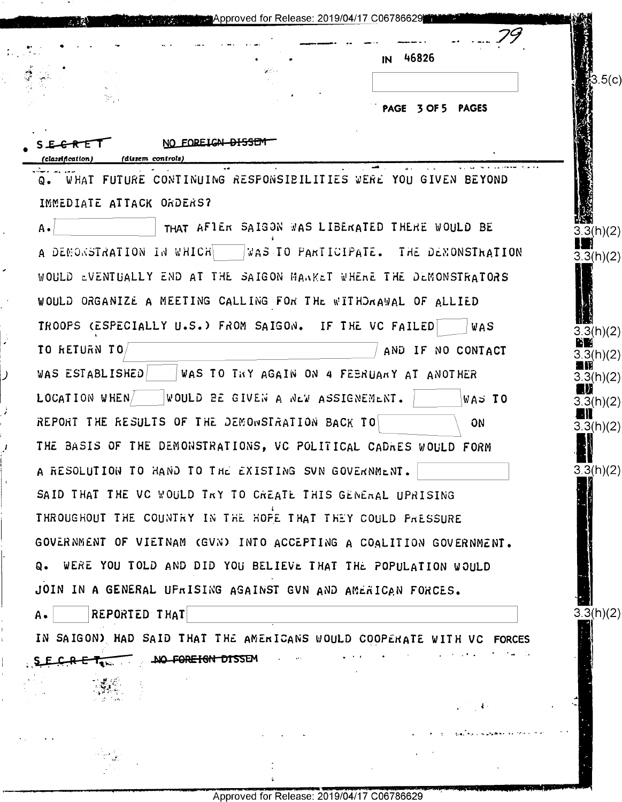|                                       |                                                                       | IN 46826          |                   |
|---------------------------------------|-----------------------------------------------------------------------|-------------------|-------------------|
|                                       | Serbia.                                                               |                   | .5(c)             |
| $\mathcal{D}_{\mathcal{A}}$ .         |                                                                       | PAGE 3 OF 5 PAGES |                   |
| 'classification)<br>(dissem controls) | NO FOREIGN <del>DISSE</del>                                           |                   |                   |
| Q.                                    | WHAT FUTURE CONTINUING RESPONSIBILITIES WERE YOU GIVEN BEYOND         |                   |                   |
| IMMEDIATE ATTACK ORDERS?              |                                                                       |                   |                   |
| A.                                    | THAT AFIER SAIGON WAS LIBERATED THERE WOULD BE                        |                   | 3.3(h)(2)         |
|                                       | A DEMONSTRATION IN WHICH   WAS TO PARTICIPATE. THE DEMONSTRATION      |                   | 3.3(h)(2)         |
|                                       | WOULD EVENTUALLY END AT THE SAIGON MANKET WHENE THE DEMONSTRATORS     |                   |                   |
|                                       | WOULD ORGANIZE A MEETING CALLING FOR THE WITHDRAWAL OF ALLIED         |                   |                   |
|                                       | TROOPS (ESPECIALLY U.S.) FROM SAIGON. IF THE VC FAILED                | WAS.              | 3.3(h)(2)         |
| TO RETURN TO/                         |                                                                       | AND IF NO CONTACT | Ŀ٢<br>3.3(h)(2)   |
| WAS ESTABLISHED                       | WAS TO THY AGAIN ON 4 FEBRUARY AT ANOTHER                             |                   | 3.3(h)(2)         |
| LOCATION WHEN                         | WOULD BE GIVEN A NEW ASSIGNEMENT.                                     | WAS TO            | n) i<br>3.3(h)(2) |
|                                       | REPORT THE RESULTS OF THE DEMONSTRATION BACK TO                       | ON                | 3.3(h)(2)         |
|                                       | THE BASIS OF THE DEMONSTRATIONS, VC POLITICAL CADRES WOULD FORM       |                   |                   |
|                                       | A RESOLUTION TO HAND TO THE EXISTING SVN GOVERNMENT.                  |                   | 3.3(h)(2)         |
|                                       | SAID THAT THE VC WOULD TRY TO CREATE THIS GENERAL UPRISING            |                   |                   |
|                                       | THROUGHOUT THE COUNTRY IN THE HOPE THAT THEY COULD PRESSURE           |                   |                   |
|                                       | GOVERNMENT OF VIETNAM (GVN) INTO ACCEPTING A COALITION GOVERNMENT.    |                   |                   |
|                                       | Q. WERE YOU TOLD AND DID YOU BELIEVE THAT THE POPULATION WOULD        |                   |                   |
|                                       | JOIN IN A GENERAL UPRISING AGAINST GVN AND AMERICAN FORCES.           |                   |                   |
| REPORTED THAT<br>А.                   |                                                                       |                   | 3.3(h)(2)         |
|                                       | IN SAIGON) HAD SAID THAT THE AMERICANS WOULD COOPERATE WITH VC FORCES |                   |                   |
| SECRE                                 | and the state of the state<br>NO FOREIGN DISSEM                       |                   |                   |
|                                       |                                                                       |                   |                   |
|                                       |                                                                       |                   |                   |
|                                       |                                                                       |                   |                   |
|                                       |                                                                       |                   |                   |
|                                       |                                                                       |                   |                   |

 $\mathcal{L}_\mathrm{c}$ 

Ŷ,

**The State** ×

 $\ddot{\bullet}$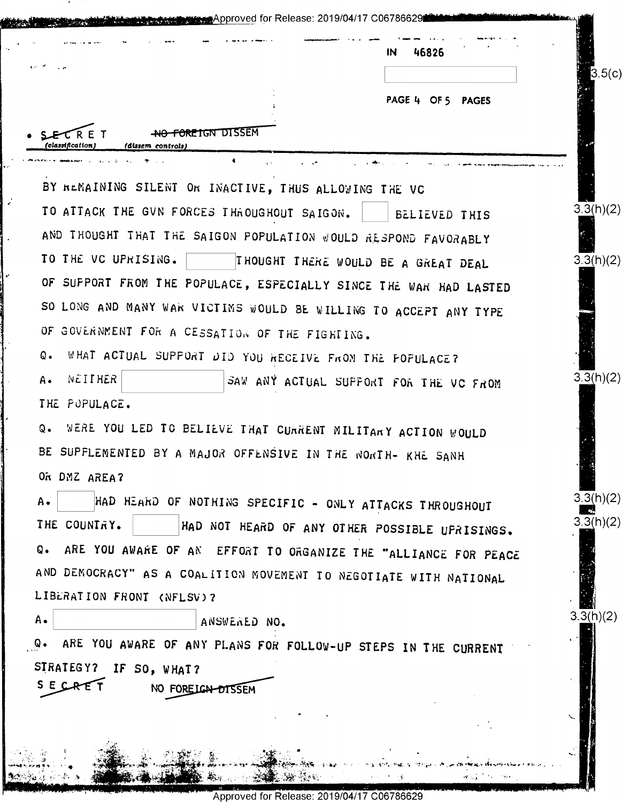| $\mathbf{r} \in \mathcal{S}$                                         |                       | IN<br>46826                                    | 3.5(c)    |
|----------------------------------------------------------------------|-----------------------|------------------------------------------------|-----------|
|                                                                      |                       | PAGE 4 OF 5 PAGES                              |           |
| <del>NO FOREIGN DISSEM</del><br>classification)<br>(dissem controls) |                       |                                                |           |
| $\bullet$                                                            | $\mathcal{A}^{\pm}$ . |                                                |           |
| BY REMAINING SILENT OR INACTIVE, THUS ALLOWING THE VC                |                       |                                                |           |
| TO ATTACK THE GVN FORCES THROUGHOUT SAIGON.                          |                       | BELIEVED THIS                                  | 3.3(h)(2) |
| AND THOUGHT THAT THE SAIGON POPULATION WOULD RESPOND FAVORABLY       |                       |                                                |           |
| TO THE VC UPRISING.                                                  |                       | THOUGHT THERE WOULD BE A GREAT DEAL            | 3.3(h)(2) |
| OF SUPPORT FROM THE POPULACE, ESPECIALLY SINCE THE WAR HAD LASTED    |                       |                                                |           |
| SO LONG AND MANY WAR VICTIMS WOULD BE WILLING TO ACCEPT ANY TYPE     |                       |                                                |           |
| OF GOVERNMENT FOR A CESSATION OF THE FIGHTING.                       |                       |                                                |           |
| Q.<br>WHAT ACTUAL SUPPORT DID YOU RECEIVE FROM THE FOFULACE?         |                       |                                                |           |
| NEITHER<br>Α.                                                        |                       | SAW ANY ACTUAL SUPPORT FOR THE VC FROM         | 3.3(h)(2) |
| THE PUPULACE.                                                        |                       |                                                |           |
| WERE YOU LED TO BELIEVE THAT CURRENT MILITARY ACTION WOULD<br>$Q -$  |                       |                                                |           |
| BE SUPFLEMENTED BY A MAJOR OFFENSIVE IN THE NORTH- KHE SANH          |                       |                                                |           |
| OR DMZ AREA?                                                         |                       |                                                |           |
| HAD HEARD OF NOTHING SPECIFIC - ONLY ATTACKS THROUGHOUT<br><b>A.</b> |                       |                                                | 3.3(h)(2) |
| THE COUNTRY.                                                         |                       | HAD NOT HEARD OF ANY OTHER POSSIBLE UPRISINGS. | 3.3(h)(2) |
| ARE YOU AWARE OF AN EFFORT TO ORGANIZE THE "ALLIANCE FOR PEACE<br>Q. |                       |                                                |           |
| AND DEMOCRACY" AS A COALITION MOVEMENT TO NEGOTIATE WITH NATIONAL    |                       |                                                |           |
| LIBERATION FRONT (NFLSV)?                                            |                       |                                                |           |
| Α.                                                                   | ANSWERED NO.          |                                                | 3.3(h)(2) |
| ARE YOU AWARE OF ANY PLANS FOR FOLLOW-UP STEPS IN THE CURRENT<br>Q.  |                       |                                                |           |
| SIRATEGY? IF SO, WHAT?                                               |                       |                                                |           |
| SECRE<br>NO FOREIGN DISSEM                                           |                       |                                                |           |
|                                                                      |                       |                                                |           |
|                                                                      |                       |                                                |           |

 $\mathcal{G}$ 

Approved for Release: 2019/04/17 C06786629